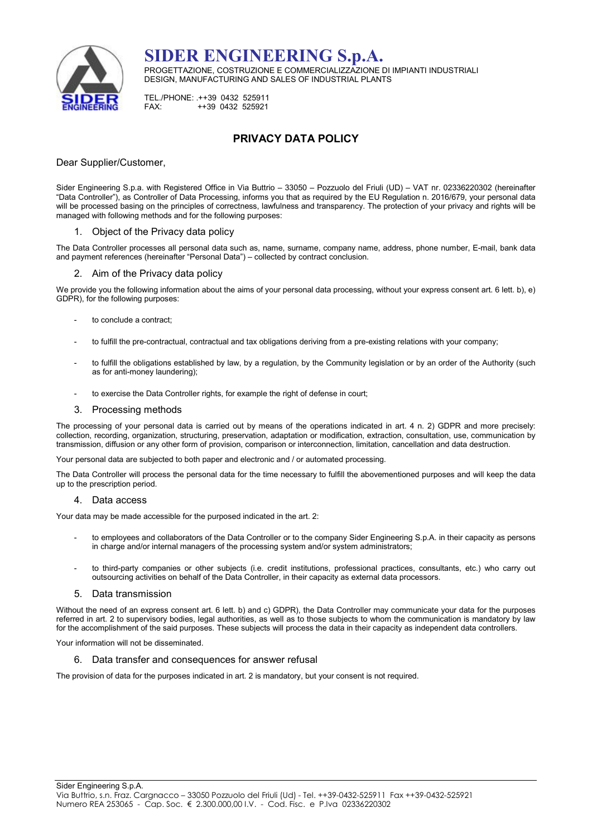

SIDER ENGINEERING S.p.A. PROGETTAZIONE, COSTRUZIONE E COMMERCIALIZZAZIONE DI IMPIANTI INDUSTRIALI DESIGN, MANUFACTURING AND SALES OF INDUSTRIAL PLANTS

TEL./PHONE: .++39 0432 525911<br>EAX: ++39 0432 525921 FAX: ++39 0432 525921

# PRIVACY DATA POLICY

### Dear Supplier/Customer,

Sider Engineering S.p.a. with Registered Office in Via Buttrio – 33050 – Pozzuolo del Friuli (UD) – VAT nr. 02336220302 (hereinafter "Data Controller"), as Controller of Data Processing, informs you that as required by the EU Regulation n. 2016/679, your personal data will be processed basing on the principles of correctness, lawfulness and transparency. The protection of your privacy and rights will be managed with following methods and for the following purposes:

#### 1. Object of the Privacy data policy

The Data Controller processes all personal data such as, name, surname, company name, address, phone number, E-mail, bank data and payment references (hereinafter "Personal Data") – collected by contract conclusion.

#### 2. Aim of the Privacy data policy

We provide you the following information about the aims of your personal data processing, without your express consent art. 6 lett. b), e) GDPR), for the following purposes:

- to conclude a contract;
- to fulfill the pre-contractual, contractual and tax obligations deriving from a pre-existing relations with your company;
- to fulfill the obligations established by law, by a regulation, by the Community legislation or by an order of the Authority (such as for anti-money laundering);
- to exercise the Data Controller rights, for example the right of defense in court;

#### 3. Processing methods

The processing of your personal data is carried out by means of the operations indicated in art. 4 n. 2) GDPR and more precisely: collection, recording, organization, structuring, preservation, adaptation or modification, extraction, consultation, use, communication by transmission, diffusion or any other form of provision, comparison or interconnection, limitation, cancellation and data destruction.

Your personal data are subjected to both paper and electronic and / or automated processing.

The Data Controller will process the personal data for the time necessary to fulfill the abovementioned purposes and will keep the data up to the prescription period.

#### 4. Data access

Your data may be made accessible for the purposed indicated in the art. 2:

- to employees and collaborators of the Data Controller or to the company Sider Engineering S.p.A. in their capacity as persons in charge and/or internal managers of the processing system and/or system administrators;
- to third-party companies or other subjects (i.e. credit institutions, professional practices, consultants, etc.) who carry out outsourcing activities on behalf of the Data Controller, in their capacity as external data processors.

#### 5. Data transmission

Without the need of an express consent art. 6 lett. b) and c) GDPR), the Data Controller may communicate your data for the purposes referred in art. 2 to supervisory bodies, legal authorities, as well as to those subjects to whom the communication is mandatory by law for the accomplishment of the said purposes. These subjects will process the data in their capacity as independent data controllers.

Your information will not be disseminated.

#### 6. Data transfer and consequences for answer refusal

The provision of data for the purposes indicated in art. 2 is mandatory, but your consent is not required.